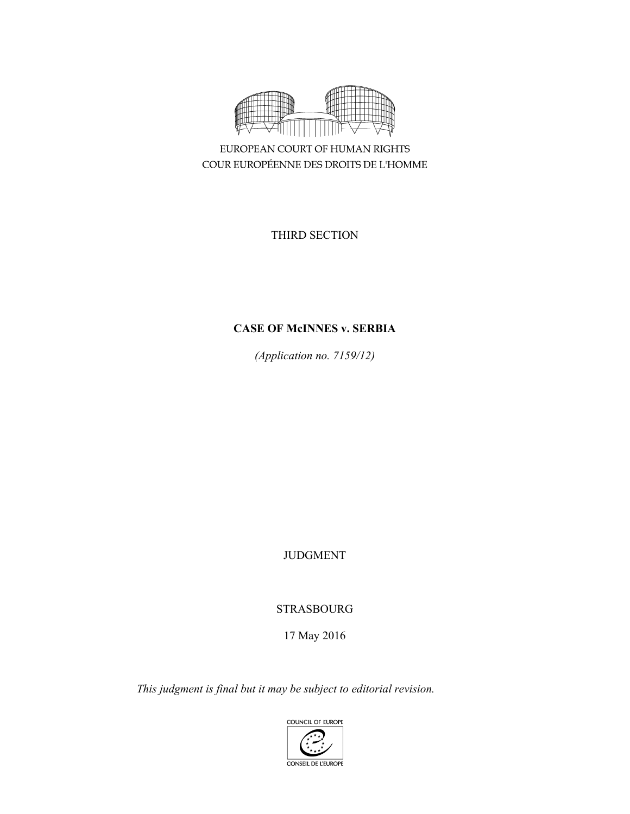

EUROPEAN COURT OF HUMAN RIGHTS COUR EUROPÉENNE DES DROITS DE L'HOMME

THIRD SECTION

# **CASE OF McINNES v. SERBIA**

*(Application no. 7159/12)* 

JUDGMENT

STRASBOURG

17 May 2016

*This judgment is final but it may be subject to editorial revision.* 

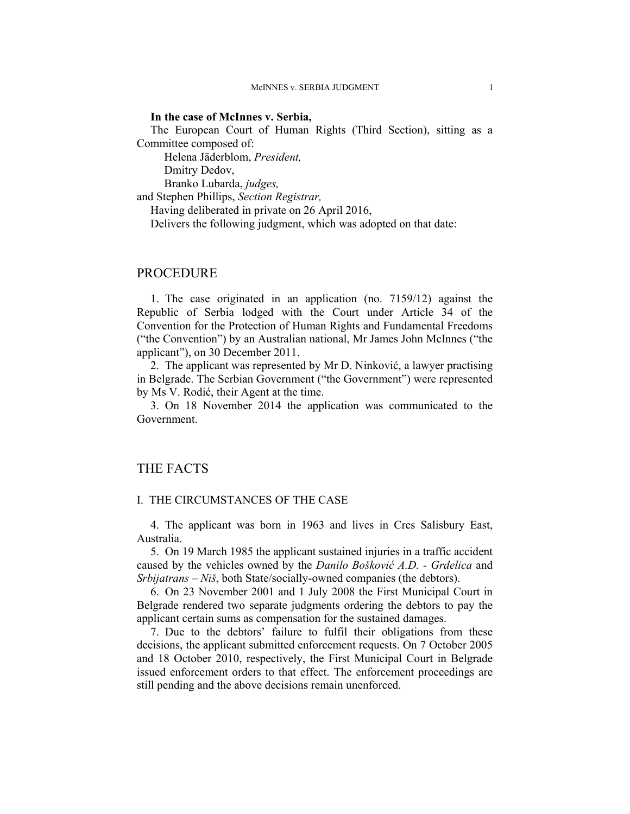## **In the case of McInnes v. Serbia,**

The European Court of Human Rights (Third Section), sitting as a Committee composed of:

Helena Jäderblom, *President,* 

Dmitry Dedov,

Branko Lubarda, *judges,*

and Stephen Phillips, *Section Registrar,*

Having deliberated in private on 26 April 2016,

Delivers the following judgment, which was adopted on that date:

# PROCEDURE

1. The case originated in an application (no. 7159/12) against the Republic of Serbia lodged with the Court under Article 34 of the Convention for the Protection of Human Rights and Fundamental Freedoms ("the Convention") by an Australian national, Mr James John McInnes ("the applicant"), on 30 December 2011.

2. The applicant was represented by Mr D. Ninković, a lawyer practising in Belgrade. The Serbian Government ("the Government") were represented by Ms V. Rodić, their Agent at the time.

3. On 18 November 2014 the application was communicated to the Government.

## THE FACTS

### I. THE CIRCUMSTANCES OF THE CASE

4. The applicant was born in 1963 and lives in Cres Salisbury East, Australia.

5. On 19 March 1985 the applicant sustained injuries in a traffic accident caused by the vehicles owned by the *Danilo Bošković A.D. - Grdelica* and *Srbijatrans – Niš*, both State/socially-owned companies (the debtors).

6. On 23 November 2001 and 1 July 2008 the First Municipal Court in Belgrade rendered two separate judgments ordering the debtors to pay the applicant certain sums as compensation for the sustained damages.

7. Due to the debtors' failure to fulfil their obligations from these decisions, the applicant submitted enforcement requests. On 7 October 2005 and 18 October 2010, respectively, the First Municipal Court in Belgrade issued enforcement orders to that effect. The enforcement proceedings are still pending and the above decisions remain unenforced.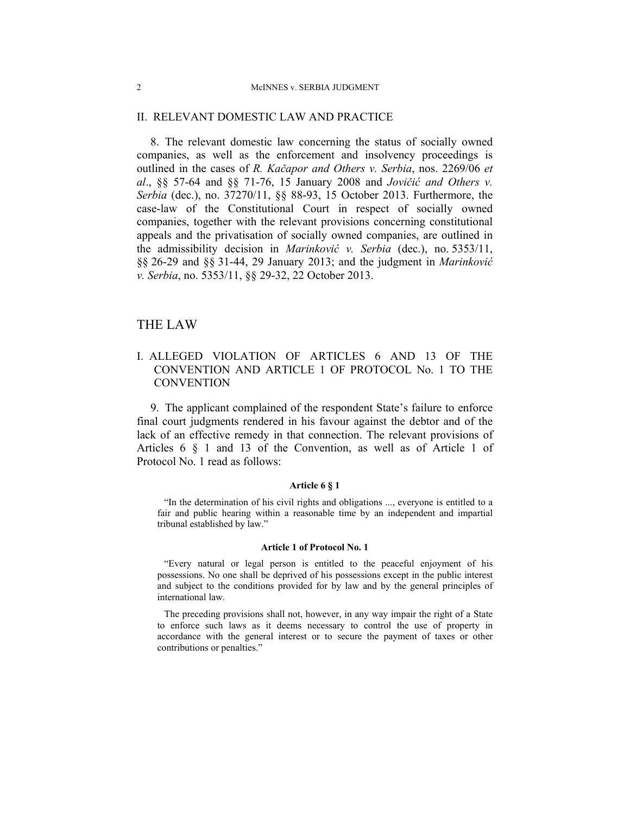### II. RELEVANT DOMESTIC LAW AND PRACTICE

8. The relevant domestic law concerning the status of socially owned companies, as well as the enforcement and insolvency proceedings is outlined in the cases of *R. Kačapor and Others v. Serbia*, nos. 2269/06 *et al*., §§ 57-64 and §§ 71-76, 15 January 2008 and *Jovičić and Others v. Serbia* (dec.), no. 37270/11, §§ 88-93, 15 October 2013. Furthermore, the case-law of the Constitutional Court in respect of socially owned companies, together with the relevant provisions concerning constitutional appeals and the privatisation of socially owned companies, are outlined in the admissibility decision in *Marinković v. Serbia* (dec.), no. 5353/11, §§ 26-29 and §§ 31-44, 29 January 2013; and the judgment in *Marinković v. Serbia*, no. 5353/11, §§ 29-32, 22 October 2013.

# THE LAW

# I. ALLEGED VIOLATION OF ARTICLES 6 AND 13 OF THE CONVENTION AND ARTICLE 1 OF PROTOCOL No. 1 TO THE **CONVENTION**

9. The applicant complained of the respondent State's failure to enforce final court judgments rendered in his favour against the debtor and of the lack of an effective remedy in that connection. The relevant provisions of Articles 6 § 1 and 13 of the Convention, as well as of Article 1 of Protocol No. 1 read as follows:

#### **Article 6 § 1**

"In the determination of his civil rights and obligations ..., everyone is entitled to a fair and public hearing within a reasonable time by an independent and impartial tribunal established by law."

#### **Article 1 of Protocol No. 1**

"Every natural or legal person is entitled to the peaceful enjoyment of his possessions. No one shall be deprived of his possessions except in the public interest and subject to the conditions provided for by law and by the general principles of international law.

The preceding provisions shall not, however, in any way impair the right of a State to enforce such laws as it deems necessary to control the use of property in accordance with the general interest or to secure the payment of taxes or other contributions or penalties."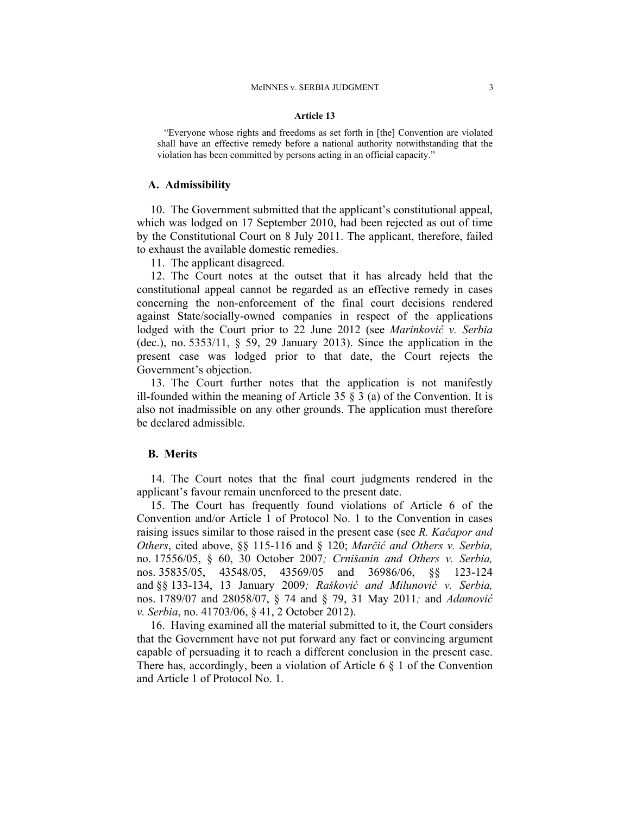#### **Article 13**

"Everyone whose rights and freedoms as set forth in [the] Convention are violated shall have an effective remedy before a national authority notwithstanding that the violation has been committed by persons acting in an official capacity."

#### **A. Admissibility**

10. The Government submitted that the applicant's constitutional appeal, which was lodged on 17 September 2010, had been rejected as out of time by the Constitutional Court on 8 July 2011. The applicant, therefore, failed to exhaust the available domestic remedies.

11. The applicant disagreed.

12. The Court notes at the outset that it has already held that the constitutional appeal cannot be regarded as an effective remedy in cases concerning the non-enforcement of the final court decisions rendered against State/socially-owned companies in respect of the applications lodged with the Court prior to 22 June 2012 (see *Marinković v. Serbia* (dec.), no. 5353/11, § 59, 29 January 2013). Since the application in the present case was lodged prior to that date, the Court rejects the Government's objection.

13. The Court further notes that the application is not manifestly ill-founded within the meaning of Article 35  $\S$  3 (a) of the Convention. It is also not inadmissible on any other grounds. The application must therefore be declared admissible.

## **B. Merits**

14. The Court notes that the final court judgments rendered in the applicant's favour remain unenforced to the present date.

15. The Court has frequently found violations of Article 6 of the Convention and/or Article 1 of Protocol No. 1 to the Convention in cases raising issues similar to those raised in the present case (see *R. Kačapor and Others*, cited above, §§ 115-116 and § 120; *Marčić and Others v. Serbia,*  no. 17556/05, § 60, 30 October 2007*; Crnišanin and Others v. Serbia,*  nos. 35835/05, 43548/05, 43569/05 and 36986/06, §§ 123-124 and §§ 133-134, 13 January 2009*; Rašković and Milunović v. Serbia,*  nos. 1789/07 and 28058/07, § 74 and § 79, 31 May 2011*;* and *Adamović v. Serbia*, no. 41703/06, § 41, 2 October 2012).

16. Having examined all the material submitted to it, the Court considers that the Government have not put forward any fact or convincing argument capable of persuading it to reach a different conclusion in the present case. There has, accordingly, been a violation of Article 6  $\S$  1 of the Convention and Article 1 of Protocol No. 1.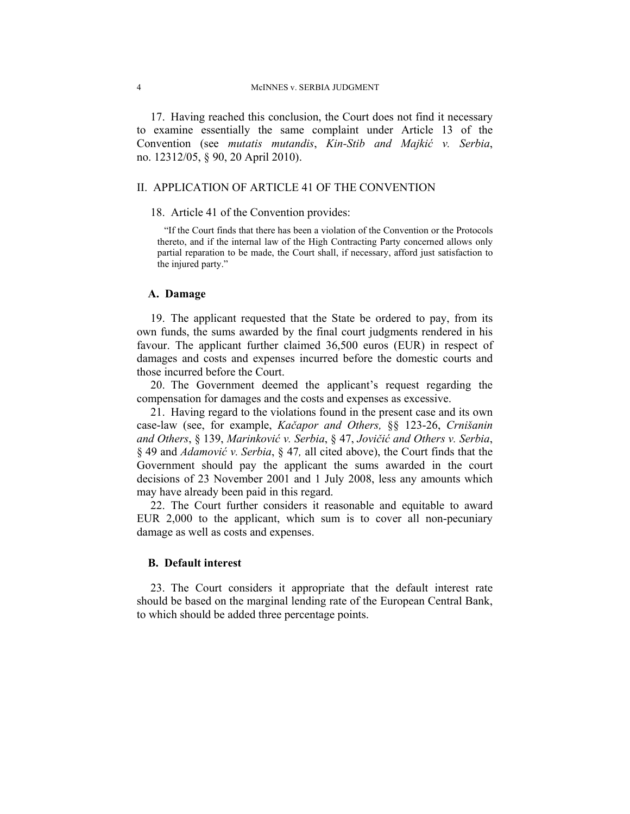17. Having reached this conclusion, the Court does not find it necessary to examine essentially the same complaint under Article 13 of the Convention (see *mutatis mutandis*, *Kin-Stib and Majkić v. Serbia*, no. 12312/05, § 90, 20 April 2010).

## II. APPLICATION OF ARTICLE 41 OF THE CONVENTION

### 18. Article 41 of the Convention provides:

"If the Court finds that there has been a violation of the Convention or the Protocols thereto, and if the internal law of the High Contracting Party concerned allows only partial reparation to be made, the Court shall, if necessary, afford just satisfaction to the injured party."

### **A. Damage**

19. The applicant requested that the State be ordered to pay, from its own funds, the sums awarded by the final court judgments rendered in his favour. The applicant further claimed 36,500 euros (EUR) in respect of damages and costs and expenses incurred before the domestic courts and those incurred before the Court.

20. The Government deemed the applicant's request regarding the compensation for damages and the costs and expenses as excessive.

21. Having regard to the violations found in the present case and its own case-law (see, for example, *Kačapor and Others,* §§ 123-26, *Crnišanin and Others*, § 139, *Marinković v. Serbia*, § 47, *Jovičić and Others v. Serbia*, § 49 and *Adamović v. Serbia*, § 47*,* all cited above), the Court finds that the Government should pay the applicant the sums awarded in the court decisions of 23 November 2001 and 1 July 2008, less any amounts which may have already been paid in this regard.

22. The Court further considers it reasonable and equitable to award EUR 2,000 to the applicant, which sum is to cover all non-pecuniary damage as well as costs and expenses.

### **B. Default interest**

23. The Court considers it appropriate that the default interest rate should be based on the marginal lending rate of the European Central Bank, to which should be added three percentage points.